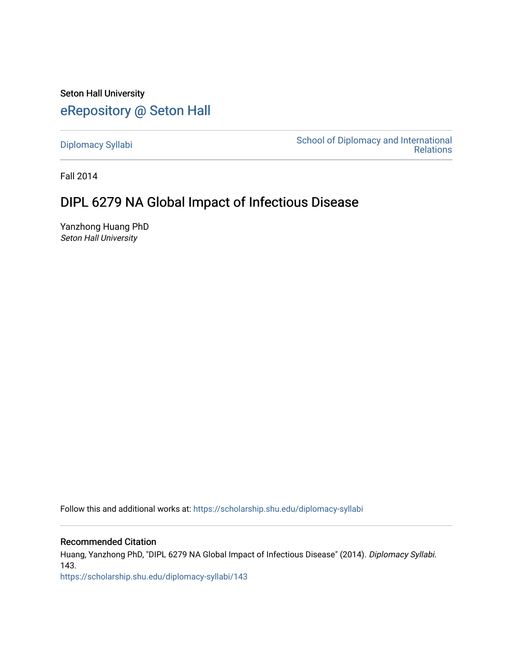Seton Hall University [eRepository @ Seton Hall](https://scholarship.shu.edu/)

[Diplomacy Syllabi](https://scholarship.shu.edu/diplomacy-syllabi) [School of Diplomacy and International](https://scholarship.shu.edu/diplomacy)  [Relations](https://scholarship.shu.edu/diplomacy) 

Fall 2014

# DIPL 6279 NA Global Impact of Infectious Disease

Yanzhong Huang PhD Seton Hall University

Follow this and additional works at: [https://scholarship.shu.edu/diplomacy-syllabi](https://scholarship.shu.edu/diplomacy-syllabi?utm_source=scholarship.shu.edu%2Fdiplomacy-syllabi%2F143&utm_medium=PDF&utm_campaign=PDFCoverPages) 

#### Recommended Citation

Huang, Yanzhong PhD, "DIPL 6279 NA Global Impact of Infectious Disease" (2014). Diplomacy Syllabi. 143.

[https://scholarship.shu.edu/diplomacy-syllabi/143](https://scholarship.shu.edu/diplomacy-syllabi/143?utm_source=scholarship.shu.edu%2Fdiplomacy-syllabi%2F143&utm_medium=PDF&utm_campaign=PDFCoverPages)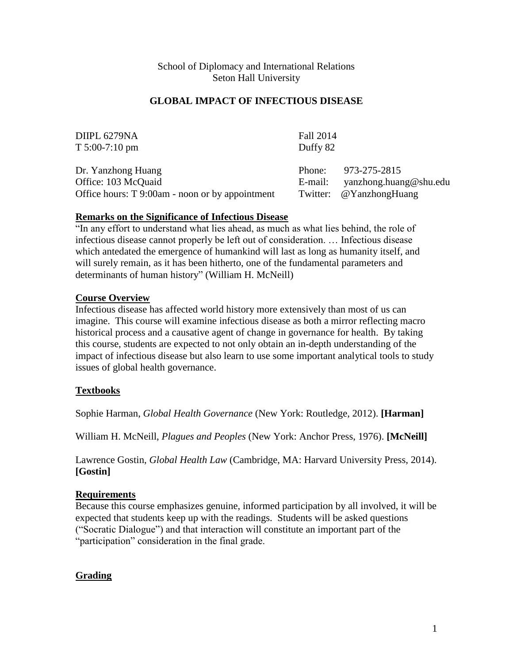### School of Diplomacy and International Relations Seton Hall University

### **GLOBAL IMPACT OF INFECTIOUS DISEASE**

| DIIPL 6279NA<br>$T 5:00-7:10 \text{ pm}$                                                     | Fall 2014<br>Duffy 82 |                                                                   |
|----------------------------------------------------------------------------------------------|-----------------------|-------------------------------------------------------------------|
| Dr. Yanzhong Huang<br>Office: 103 McQuaid<br>Office hours: T 9:00am - noon or by appointment | Phone:<br>E-mail:     | 973-275-2815<br>yanzhong.huang@shu.edu<br>Twitter: @YanzhongHuang |

### **Remarks on the Significance of Infectious Disease**

"In any effort to understand what lies ahead, as much as what lies behind, the role of infectious disease cannot properly be left out of consideration. … Infectious disease which antedated the emergence of humankind will last as long as humanity itself, and will surely remain, as it has been hitherto, one of the fundamental parameters and determinants of human history" (William H. McNeill)

### **Course Overview**

Infectious disease has affected world history more extensively than most of us can imagine. This course will examine infectious disease as both a mirror reflecting macro historical process and a causative agent of change in governance for health. By taking this course, students are expected to not only obtain an in-depth understanding of the impact of infectious disease but also learn to use some important analytical tools to study issues of global health governance.

### **Textbooks**

Sophie Harman, *Global Health Governance* (New York: Routledge, 2012). **[Harman]**

William H. McNeill, *Plagues and Peoples* (New York: Anchor Press, 1976). **[McNeill]**

Lawrence Gostin, *Global Health Law* (Cambridge, MA: Harvard University Press, 2014). **[Gostin]**

#### **Requirements**

Because this course emphasizes genuine, informed participation by all involved, it will be expected that students keep up with the readings. Students will be asked questions ("Socratic Dialogue") and that interaction will constitute an important part of the "participation" consideration in the final grade.

### **Grading**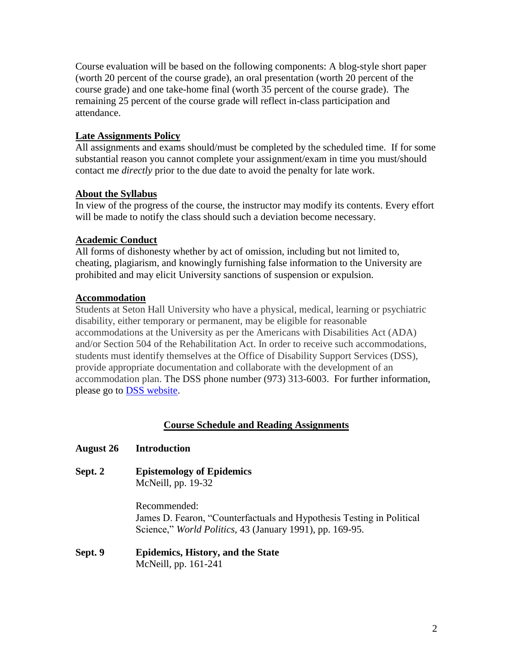Course evaluation will be based on the following components: A blog-style short paper (worth 20 percent of the course grade), an oral presentation (worth 20 percent of the course grade) and one take-home final (worth 35 percent of the course grade). The remaining 25 percent of the course grade will reflect in-class participation and attendance.

## **Late Assignments Policy**

All assignments and exams should/must be completed by the scheduled time. If for some substantial reason you cannot complete your assignment/exam in time you must/should contact me *directly* prior to the due date to avoid the penalty for late work.

### **About the Syllabus**

In view of the progress of the course, the instructor may modify its contents. Every effort will be made to notify the class should such a deviation become necessary.

# **Academic Conduct**

All forms of dishonesty whether by act of omission, including but not limited to, cheating, plagiarism, and knowingly furnishing false information to the University are prohibited and may elicit University sanctions of suspension or expulsion.

# **Accommodation**

Students at Seton Hall University who have a physical, medical, learning or psychiatric disability, either temporary or permanent, may be eligible for reasonable accommodations at the University as per the Americans with Disabilities Act (ADA) and/or Section 504 of the Rehabilitation Act. In order to receive such accommodations, students must identify themselves at the Office of Disability Support Services (DSS), provide appropriate documentation and collaborate with the development of an accommodation plan. The DSS phone number (973) 313-6003. For further information, please go to [DSS website.](http://www.shu.edu/offices/policies-procedures/disability-support-services-statement-on-students-with-disabilities.cfm)

# **Course Schedule and Reading Assignments**

### **August 26 Introduction**

**Sept. 2 Epistemology of Epidemics** McNeill, pp. 19-32

> Recommended: James D. Fearon, "Counterfactuals and Hypothesis Testing in Political Science," *World Politics,* 43 (January 1991), pp. 169-95.

#### **Sept. 9 Epidemics, History, and the State** McNeill, pp. 161-241